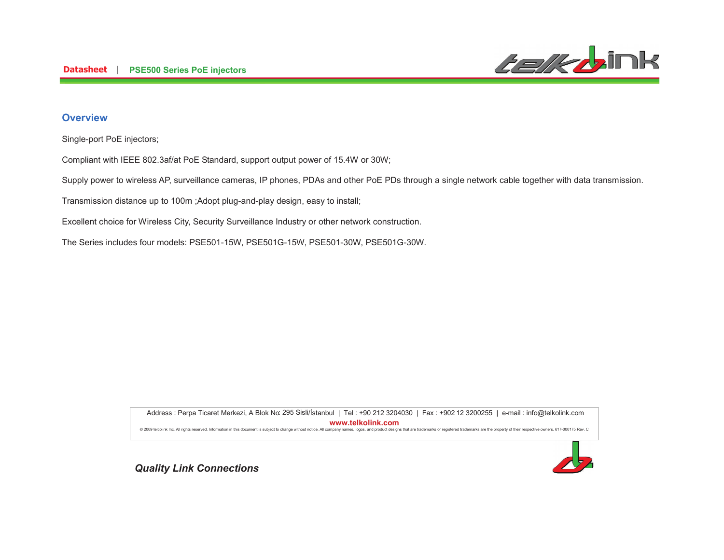

## **Overview**

Single-port PoE injectors;

Compliant with IEEE 802.3af/at PoE Standard, support output power of 15.4W or 30W;

Supply power to wireless AP, surveillance cameras, IP phones, PDAs and other PoE PDs through a single network cable together with data transmission.

Transmission distance up to 100m ;Adopt plug-and-play design, easy to install;

Excellent choice for Wireless City, Security Surveillance Industry or other network construction.

The Series includes four models: PSE501-15W, PSE501G-15W, PSE501-30W, PSE501G-30W.

6()'7\*8
- :; <'6 =--.-4.<&>6 =- -.--55<?6@
A
" : 295 Sisli**%%%&-&'** @ 2009 telcolink Inc. All rights reserved. Information in this document is subject to change without notice. All company names, logos, and product designs that are trademarks or registered trademarks are the property of th

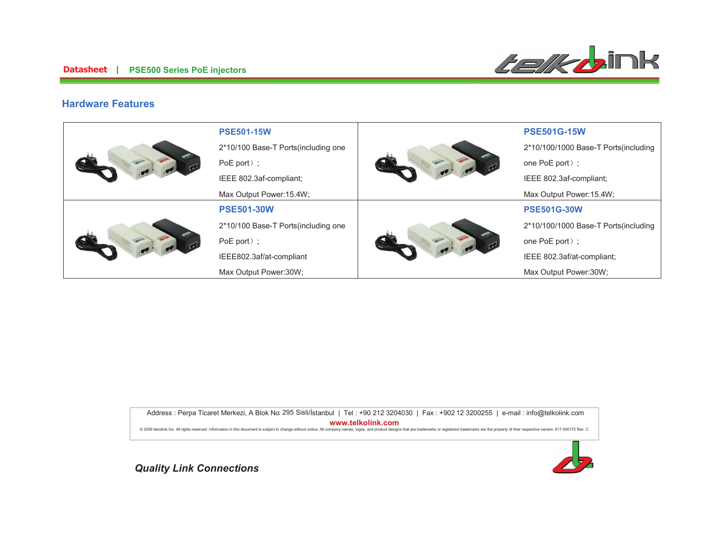

### **Hardware Features**

|  | <b>PSE501-15W</b>                    |  | <b>PSE501G-15W</b>                    |
|--|--------------------------------------|--|---------------------------------------|
|  | 2*10/100 Base-T Ports (including one |  | 2*10/100/1000 Base-T Ports (including |
|  | PoE port $)$ ;                       |  | one PoE port);                        |
|  | IEEE 802.3af-compliant;              |  | IEEE 802.3af-compliant;               |
|  | Max Output Power: 15.4W;             |  | Max Output Power: 15.4W;              |
|  | <b>PSE501-30W</b>                    |  | <b>PSE501G-30W</b>                    |
|  | 2*10/100 Base-T Ports(including one  |  | 2*10/100/1000 Base-T Ports(including  |
|  | PoE port $)$ ;                       |  | one PoE port);                        |
|  | IEEE802.3af/at-compliant             |  | IEEE 802.3af/at-compliant;            |
|  | Max Output Power:30W;                |  | Max Output Power:30W;                 |

6()'7\*8
- :; <'6 =--.-4.<&>6 =- -.--55<?6@
A
" : 295 Sisli**%%%&-&'** 



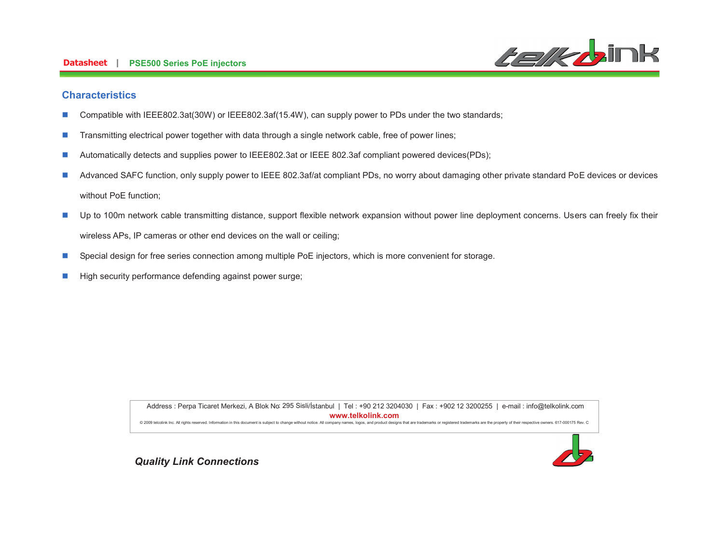#### **Datasheet PSE500 Series PoE injectors**



### **Characteristics**

- Compatible with IEEE802.3at(30W) or IEEE802.3af(15.4W), can supply power to PDs under the two standards;  $\mathcal{L}_{\mathcal{A}}$
- Transmitting electrical power together with data through a single network cable, free of power lines; I.
- Automatically detects and supplies power to IEEE802.3at or IEEE 802.3af compliant powered devices(PDs);  $\mathbb{R}^3$
- Advanced SAFC function, only supply power to IEEE 802.3af/at compliant PDs, no worry about damaging other private standard PoE devices or devices П without PoE function;
- Up to 100m network cable transmitting distance, support flexible network expansion without power line deployment concerns. Users can freely fix their T. wireless APs, IP cameras or other end devices on the wall or ceiling;
- $\mathcal{C}$ Special design for free series connection among multiple PoE injectors, which is more convenient for storage.
- High security performance defending against power surge; T.

Address : Perpa Ticaret Merkezi, A Blok No: 295 Sisli/İstanbul | Tel : +90 212 3204030 | Fax : +902 12 3200255 | e-mail : info@telkolink.com www.telkolink.com @ 2009 telcolink Inc. All rights reserved. Information in this document is subject to change without notice. All company names, logos, and product designs that are trademarks or registered trademarks are the property of th

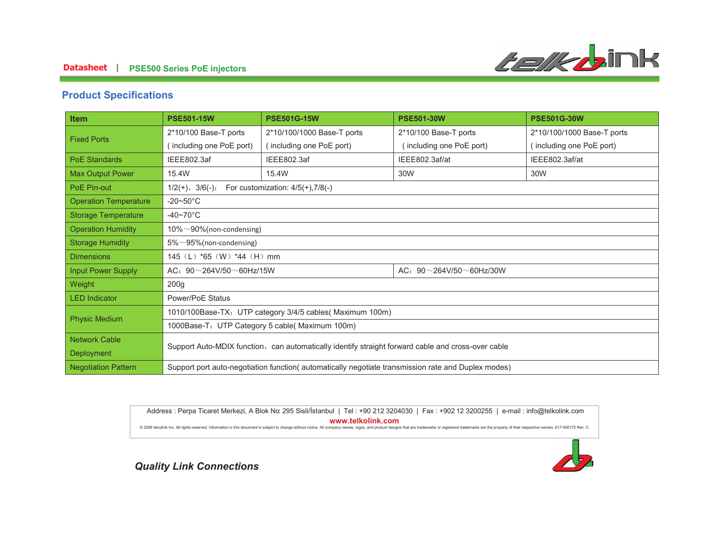### **-- PSE500 Series PoE injectors**



### **Product Specifications**

| Item                         | <b>PSE501-15W</b>                                                                                   | <b>PSE501G-15W</b>         | <b>PSE501-30W</b>                   | <b>PSE501G-30W</b>         |  |  |
|------------------------------|-----------------------------------------------------------------------------------------------------|----------------------------|-------------------------------------|----------------------------|--|--|
| <b>Fixed Ports</b>           | 2*10/100 Base-T ports                                                                               | 2*10/100/1000 Base-T ports | 2*10/100 Base-T ports               | 2*10/100/1000 Base-T ports |  |  |
|                              | including one PoE port)                                                                             | (including one PoE port)   | including one PoE port)             | (including one PoE port)   |  |  |
| <b>PoE Standards</b>         | IEEE802.3af                                                                                         | IEEE802.3af                | IEEE802.3af/at                      | IEEE802.3af/at             |  |  |
| <b>Max Output Power</b>      | 15.4W                                                                                               | 15.4W                      | 30W                                 | 30W                        |  |  |
| PoE Pin-out                  | For customization: $4/5(+)$ , $7/8(-)$<br>$1/2(+), 3/6(-);$                                         |                            |                                     |                            |  |  |
| <b>Operation Temperature</b> | $-20\nthicksim50^{\circ}$ C                                                                         |                            |                                     |                            |  |  |
| <b>Storage Temperature</b>   | $-40 \sim 70^{\circ}$ C                                                                             |                            |                                     |                            |  |  |
| <b>Operation Humidity</b>    | $10\% \sim 90\%$ (non-condensing)                                                                   |                            |                                     |                            |  |  |
| <b>Storage Humidity</b>      | $5\% \sim 95\%$ (non-condensing)                                                                    |                            |                                     |                            |  |  |
| <b>Dimensions</b>            | 145 (L) *65 (W) *44 (H) mm                                                                          |                            |                                     |                            |  |  |
| <b>Input Power Supply</b>    | AC: $90 \sim 264V/50 \sim 60Hz/15W$                                                                 |                            | AC: $90 \sim 264V/50 \sim 60Hz/30W$ |                            |  |  |
| Weight                       | 200 <sub>g</sub>                                                                                    |                            |                                     |                            |  |  |
| <b>LED</b> Indicator         | Power/PoE Status                                                                                    |                            |                                     |                            |  |  |
|                              | 1010/100Base-TX: UTP category 3/4/5 cables(Maximum 100m)                                            |                            |                                     |                            |  |  |
| <b>Physic Medium</b>         | 1000Base-T: UTP Category 5 cable( Maximum 100m)                                                     |                            |                                     |                            |  |  |
| <b>Network Cable</b>         |                                                                                                     |                            |                                     |                            |  |  |
| <b>Deployment</b>            | Support Auto-MDIX function, can automatically identify straight forward cable and cross-over cable  |                            |                                     |                            |  |  |
| <b>Negotiation Pattern</b>   | Support port auto-negotiation function (automatically negotiate transmission rate and Duplex modes) |                            |                                     |                            |  |  |

6()'7\*8
- :; <'6 =--.-4.<&>6 =- -.--55<?6@
A
" : 295 Sisli**%%%&-&'** 

@ 2009 telcolink Inc. All rights reserved. Information in this document is subject to change without notice. All company names, logos, and product designs that are trademarks or registered trademarks are the property of th